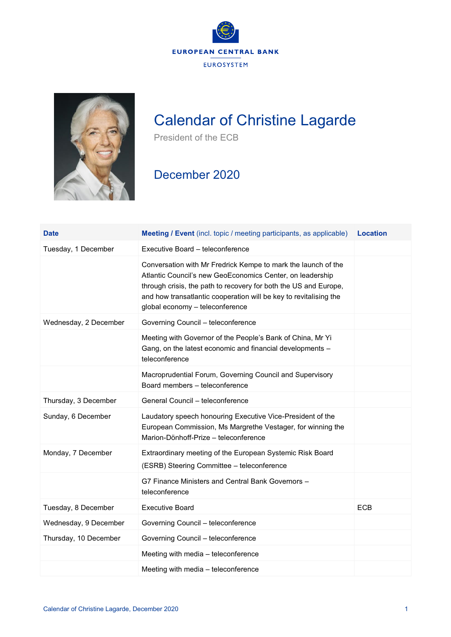



## Calendar of Christine Lagarde

President of the ECB

## December 2020

| <b>Date</b>           | <b>Meeting / Event</b> (incl. topic / meeting participants, as applicable)                                                                                                                                                                                                                             | <b>Location</b> |
|-----------------------|--------------------------------------------------------------------------------------------------------------------------------------------------------------------------------------------------------------------------------------------------------------------------------------------------------|-----------------|
| Tuesday, 1 December   | Executive Board - teleconference                                                                                                                                                                                                                                                                       |                 |
|                       | Conversation with Mr Fredrick Kempe to mark the launch of the<br>Atlantic Council's new GeoEconomics Center, on leadership<br>through crisis, the path to recovery for both the US and Europe,<br>and how transatlantic cooperation will be key to revitalising the<br>global economy - teleconference |                 |
| Wednesday, 2 December | Governing Council - teleconference                                                                                                                                                                                                                                                                     |                 |
|                       | Meeting with Governor of the People's Bank of China, Mr Yi<br>Gang, on the latest economic and financial developments -<br>teleconference                                                                                                                                                              |                 |
|                       | Macroprudential Forum, Governing Council and Supervisory<br>Board members - teleconference                                                                                                                                                                                                             |                 |
| Thursday, 3 December  | General Council - teleconference                                                                                                                                                                                                                                                                       |                 |
| Sunday, 6 December    | Laudatory speech honouring Executive Vice-President of the<br>European Commission, Ms Margrethe Vestager, for winning the<br>Marion-Dönhoff-Prize - teleconference                                                                                                                                     |                 |
| Monday, 7 December    | Extraordinary meeting of the European Systemic Risk Board<br>(ESRB) Steering Committee - teleconference                                                                                                                                                                                                |                 |
|                       | G7 Finance Ministers and Central Bank Governors -<br>teleconference                                                                                                                                                                                                                                    |                 |
| Tuesday, 8 December   | <b>Executive Board</b>                                                                                                                                                                                                                                                                                 | <b>ECB</b>      |
| Wednesday, 9 December | Governing Council - teleconference                                                                                                                                                                                                                                                                     |                 |
| Thursday, 10 December | Governing Council - teleconference                                                                                                                                                                                                                                                                     |                 |
|                       | Meeting with media - teleconference                                                                                                                                                                                                                                                                    |                 |
|                       | Meeting with media - teleconference                                                                                                                                                                                                                                                                    |                 |